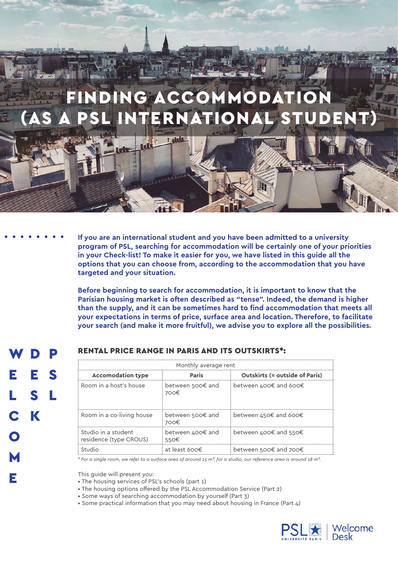# **NDING ACCOMMODATION** SL INTERNATIONAL STUD

**Title** 

**If you are an international student and you have been admitted to a university program of PSL, searching for accommodation will be certainly one of your priorities in your Check-list! To make it easier for you, we have listed in this guide all the options that you can choose from, according to the accommodation that you have targeted and your situation.**

**Before beginning to search for accommodation, it is important to know that the Parisian housing market is often described as "tense". Indeed, the demand is higher than the supply, and it can be sometimes hard to find accommodation that meets all your expectations in terms of price, surface area and location. Therefore, to facilitate your search (and make it more fruitful), we advise you to explore all the possibilities.**

E L C. O M D E S L K P S

E

# RENTAL PRICE RANGE IN PARIS AND ITS OUTSKIRTS\*:

| Monthly average rent                                     |                          |                                       |
|----------------------------------------------------------|--------------------------|---------------------------------------|
| <b>Accomodation type</b>                                 | Paris                    | <b>Outskirts (= outside of Paris)</b> |
| : Room in a host's house                                 | between 500€ and<br>700€ | between 400€ and 600€                 |
| : Room in a co-living house                              | between 500€ and<br>700€ | between 450€ and 600€                 |
| $\colon$ Studio in a student<br>: residence (type CROUS) | between 400€ and<br>550€ | between 400€ and 550€                 |
| Studio                                                   | at least 600€            | between 500€ and 700€                 |

*\* For a single room, we refer to a surface area of around 15 m²; for a studio, our reference area is around 18 m².*

This guide will present you:

- The housing services of PSL's schools (part 1)
- The housing options offered by the PSL Accommodation Service (Part 2)
- Some ways of searching accommodation by yourself (Part 3)
- Some practical information that you may need about housing in France (Part 4)

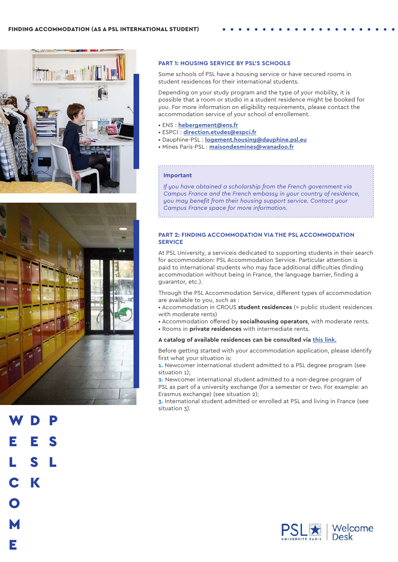



## **PART 1: HOUSING SERVICE BY PSL'S SCHOOLS**

Some schools of PSL have a housing service or have secured rooms in student residences for their international students.

Depending on your study program and the type of your mobility, it is possible that a room or studio in a student residence might be booked for you. For more information on eligibility requirements, please contact the accommodation service of your school of enrollement.

- ENS : **[hebergement@ens.fr](mailto:hebergement%40ens.fr?subject=)**
- ESPCI : **[direction.etudes@espci.fr](mailto:direction.etudes%40espci.fr?subject=)**
- Dauphine-PSL : **[logement.housing@dauphine.psl.eu](mailto:logement.housing%40dauphine.psl.eu?subject=)**
- Mines Paris-PSL : **[maisondesmines@wanadoo.fr](mailto:maisondesmines%40wanadoo.fr?subject=)**

#### **Important**

*If you have obtained a scholarship from the French government via Campus France and the French embassy in your country of residence, you may benefit from their housing support service. Contact your Campus France space for more information.*

## **PART 2: FINDING ACCOMMODATION VIA THE PSL ACCOMMODATION SERVICE**

At PSL University, a serviceis dedicated to supporting students in their search for accommodation: PSL Accommodation Service. Particular attention is paid to international students who may face additional difficulties (finding accommodation without being in France, the language barrier, finding a guarantor, etc.).

Through the PSL Accommodation Service, different types of accommodation are available to you, such as :

- Accommodation in CROUS **student residences** (= public student residences with moderate rents)
- Accommodation offered by **socialhousing operators**, with moderate rents.
- Rooms in **private residences** with intermediate rents.

## **A catalog of available residences can be consulted via [this link.](https://psl.eu/sites/default/files/PDF/Catalogue_logement_PSL.pdf)**

Before getting started with your accommodation application, please identify first what your situation is:

**1.** Newcomer international student admitted to a PSL degree program (see situation 1);

**2.** Newcomer international student admitted to a non-degree program of PSL as part of a university exchange (for a semester or two. For example: an Erasmus exchange) (see situation 2);

**3.** International student admitted or enrolled at PSL and living in France (see situation 3).



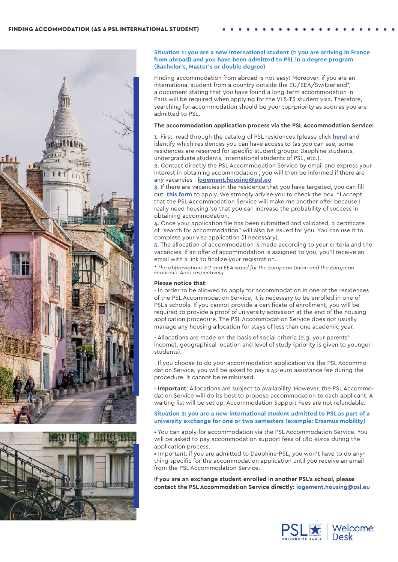



#### **Situation 1: you are a new international student (= you are arriving in France from abroad) and you have been admitted to PSL in a degree program (Bachelor's, Master's or double degree)**

Finding accommodation from abroad is not easy! Moreover, if you are an international student from a country outside the EU/EEA/Switzerland\*, a document stating that you have found a long-term accommodation in Paris will be required when applying for the VLS-TS student visa. Therefore, searching for accommodation should be your top-priority as soon as you are admitted to PSL.

#### **The accommodation application process via the PSL Accommodation Service:**

**1**. First, read through the catalog of PSL residences (please click **[here](https://psl.eu/sites/default/files/PDF/Catalogue_logement_PSL.pdf)**) and identify which residences you can have access to (as you can see, some residences are reserved for specific student groups: Dauphine students, undergraduate students, international students of PSL, etc.).

**2**. Contact directly the PSL Accommodation Service by email and express your interest in obtaining accommodation ; you will then be informed if there are any vacancies : **[logement.housing@psl.eu](mailto:logement.housing%40psl.eu?subject=)**

**3**. If there are vacancies in the residence that you have targeted, you can fill out **this form** to apply. We strongly advise you to check the box "I accept that the PSL Accommodation Service will make me another offer because I really need housing"so that you can increase the probability of success in obtaining accommodation.

**4**. Once your application file has been submitted and validated, a certificate of "search for accommodation" will also be issued for you. You can use it to complete your visa application (if necessary).

**5**. The allocation of accommodation is made according to your criteria and the vacancies. If an offer of accommodation is assigned to you, you'll receive an email with a link to finalize your registration.

*\* The abbreviations EU and EEA stand for the European Union and the European Economic Area respectively.*

## **Please notice that**:

- In order to be allowed to apply for accommodation in one of the residences of the PSL Accommodation Service, it is necessary to be enrolled in one of PSL's schools. If you cannot provide a certificate of enrollment, you will be required to provide a proof of university admission at the end of the housing application procedure. The PSL Accommodation Service does not usually manage any housing allocation for stays of less than one academic year.

- Allocations are made on the basis of social criteria (e.g. your parents' income), geographical location and level of study (priority is given to younger students).

- If you choose to do your accommodation application via the PSL Accommodation Service, you will be asked to pay a 49-euro assistance fee during the procedure. It cannot be reimbursed.

- **Important**: Allocations are subject to availability. However, the PSL Accommodation Service will do its best to propose accommodation to each applicant. A waiting list will be set up. Accommodation Support Fees are not refundable.

#### **Situation 2: you are a new international student admitted to PSL as part of a university exchange for one or two semesters (example: Erasmus mobility)**

• You can apply for accommodation via the PSL Accommodation Service. You will be asked to pay accommodation support fees of 180 euros during the application process.

• Important: if you are admitted to Dauphine-PSL, you won't have to do anything specific for the accommodation application until you receive an email from the PSL Accommodation Service.

**If you are an exchange student enrolled in another PSL's school, please contact the PSL Accommodation Service directly: [logement.housing@psl.eu](mailto:logement.housing%40psl.eu?subject=)**

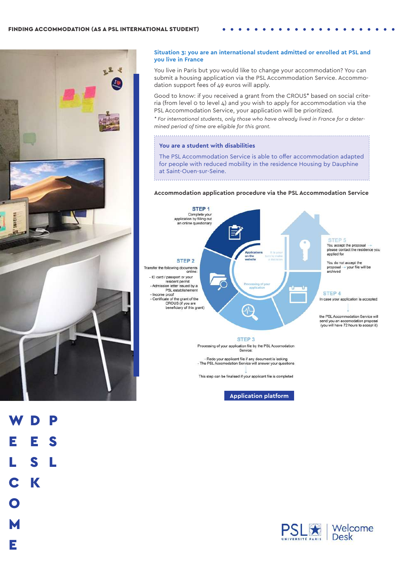

#### **Situation 3: you are an international student admitted or enrolled at PSL and you live in France**

You live in Paris but you would like to change your accommodation? You can submit a housing application via the PSL Accommodation Service. Accommodation support fees of 49 euros will apply.

Good to know: if you received a grant from the CROUS\* based on social criteria (from level 0 to level 4) and you wish to apply for accommodation via the PSL Accommodation Service, your application will be prioritized.

*\* For international students, only those who have already lived in France for a determined period of time are eligible for this grant.*

#### **You are a student with disabilities**

The PSL Accommodation Service is able to offer accommodation adapted for people with reduced mobility in the residence Housing by Dauphine at Saint-Ouen-sur-Seine.

#### **Accommodation application procedure via the PSL Accommodation Service**



This step can be finalised if your applicant file is completed

**[Application platform](https://dauphine-housing.com/long-terme/)**

W E L C K D E S L P S



M

E

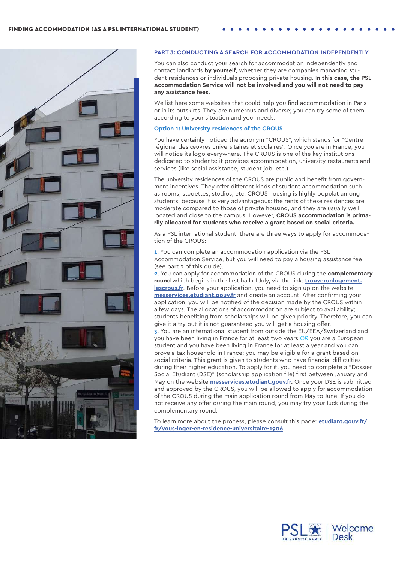

#### **PART 3: CONDUCTING A SEARCH FOR ACCOMMODATION INDEPENDENTLY**

You can also conduct your search for accommodation independently and contact landlords **by yourself**, whether they are companies managing student residences or individuals proposing private housing. I**n this case, the PSL Accommodation Service will not be involved and you will not need to pay any assistance fees.** 

We list here some websites that could help you find accommodation in Paris or in its outskirts. They are numerous and diverse; you can try some of them according to your situation and your needs.

## **Option 1: University residences of the CROUS**

You have certainly noticed the acronym "CROUS", which stands for "Centre régional des œuvres universitaires et scolaires". Once you are in France, you will notice its logo everywhere. The CROUS is one of the key institutions dedicated to students: it provides accommodation, university restaurants and services (like social assistance, student job, etc.)

The university residences of the CROUS are public and benefit from government incentives. They offer different kinds of student accommodation such as rooms, studettes, studios, etc. CROUS housing is highly populat among students, because it is very advantageous: the rents of these residences are moderate compared to those of private housing, and they are usually well located and close to the campus. However, **CROUS accommodation is primarily allocated for students who receive a grant based on social criteria.**

As a PSL international student, there are three ways to apply for accommodation of the CROUS:

**1**. You can complete an accommodation application via the PSL Accommodation Service, but you will need to pay a housing assistance fee (see part 2 of this guide).

**2**. You can apply for accommodation of the CROUS during the **complementary round** which begins in the first half of July, via the link: **[trouverunlogement.](http://trouverunlogement.lescrous.fr) [lescrous.fr](http://trouverunlogement.lescrous.fr)**. Before your application, you need to sign up on the website **[messervices.etudiant.gouv.fr](http://www.messervices.etudiant.gouv.fr)** and create an account. After confirming your application, you will be notified of the decision made by the CROUS within a few days. The allocations of accommodation are subject to availability; students benefiting from scholarships will be given priority. Therefore, you can give it a try but it is not guaranteed you will get a housing offer. **3**. You are an international student from outside the EU/EEA/Switzerland and you have been living in France for at least two years *OR* you are a European student and you have been living in France for at least a year and you can prove a tax household in France: you may be eligible for a grant based on social criteria. This grant is given to students who have financial difficulties during their higher education. To apply for it, you need to complete a "Dossier Social Etudiant (DSE)" (scholarship application file) first between January and May on the website **[messervices.etudiant.gouv.fr.](http://www.messervices.etudiant.gouv.fr)** Once your DSE is submitted and approved by the CROUS, you will be allowed to apply for accommodation of the CROUS during the main application round from May to June. If you do not receive any offer during the main round, you may try your luck during the complementary round.

To learn more about the process, please consult this page: **[etudiant.gouv.fr/](https://www.etudiant.gouv.fr/fr/vous-loger-en-residence-universitaire-1906) [fr/vous-loger-en-residence-universitaire-1906](https://www.etudiant.gouv.fr/fr/vous-loger-en-residence-universitaire-1906)**.

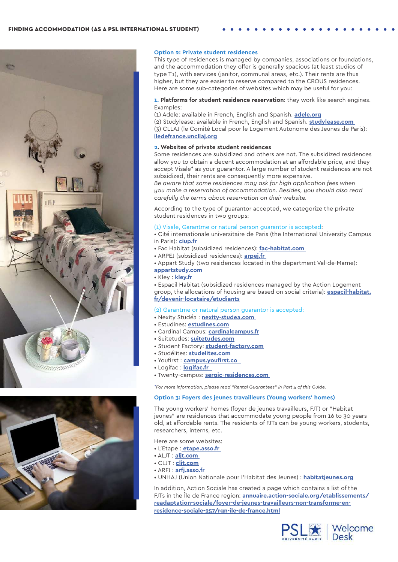



#### **Option 2: Private student residences**

This type of residences is managed by companies, associations or foundations, and the accommodation they offer is generally spacious (at least studios of type T1), with services (janitor, communal areas, etc.). Their rents are thus higher, but they are easier to reserve compared to the CROUS residences. Here are some sub-categories of websites which may be useful for you:

**1. Platforms for student residence reservation**: they work like search engines. Examples:

(1) Adele: available in French, English and Spanish. **[adele.org](http://www.adele.org)**

(2) Studylease: available in French, English and Spanish. **[studylease.com](http://www.studylease.com)** (3) CLLAJ (le Comité Local pour le Logement Autonome des Jeunes de Paris): **[iledefrance.uncllaj.org](http://www.iledefrance.uncllaj.org)**

## **2. Websites of private student residences**

Some residences are subsidized and others are not. The subsidized residences allow you to obtain a decent accommodation at an affordable price, and they accept Visale\* as your guarantor. A large number of student residences are not subsidized, their rents are consequently more expensive.

*Be aware that some residences may ask for high application fees when you make a reservation of accommodation. Besides, you should also read carefully the terms about reservation on their website.* 

According to the type of guarantor accepted, we categorize the private student residences in two groups:

#### (1) Visale, Garantme or natural person guarantor is accepted:

• Cité internationale universitaire de Paris (the International University Campus in Paris): **[ciup.fr](http://www.ciup.fr )** 

- Fac Habitat (subsidized residences): **[fac-habitat.com](http://www.fac-habitat.com )**
- ARPEJ (subsidized residences): **[arpej.fr](http://www.arpej.fr )**
- Appart Study (two residences located in the department Val-de-Marne):
- **[appartstudy.com](http://www.appartstudy.com )**
- Kley : **[kley.fr](http://www.kley.fr )**

• Espacil Habitat (subsidized residences managed by the Action Logement group, the allocations of housing are based on social criteria): **[espacil-habitat.](http://www.espacil-habitat.fr/devenir-locataire/etudiants/  ) [fr/devenir-locataire/etudiants](http://www.espacil-habitat.fr/devenir-locataire/etudiants/  )**

## (2) Garantme or natural person guarantor is accepted:

- Nexity Studéa : **[nexity-studea.com](http://www.nexity-studea.com )**
- Estudines: **[estudines.com](http://www.estudines.com)**
- Cardinal Campus: **[cardinalcampus.fr](http://www.cardinalcampus.fr)**
- Suitetudes: **s[uitetudes.com](http://www.suitetudes.com)**
- Student Factory: **[student-factory.com](http://www.student-factory.com)**
- Studélites: **[studelites.com](http://www.studelites.com  )**
- Youfirst : **[campus.youfirst.co](https://campus.youfirst.co/fr)**
- Logifac : **[logifac.fr](http://www.logifac.fr  )**
- Twenty-campus: **[sergic-residences.com](https://www.sergic-residences.com/)**

*\*For more information, please read "Rental Guarantees" in Part 4 of this Guide.*

## **Option 3: Foyers des jeunes travailleurs (Young workers' homes)**

The young workers' homes (foyer de jeunes travailleurs, FJT) or "Habitat jeunes" are residences that accommodate young people from 16 to 30 years old, at affordable rents. The residents of FJTs can be young workers, students, researchers, interns, etc.

Here are some websites:

- L'Etape : **[etape.asso.fr](https://www.etape.asso.fr/)**
- ALJT : **[aljt.com](http://www.aljt.com )**
- CLJT : **[cljt.com](http://www.cljt.com)**
- ARFJ : **[arfj.asso.fr](http://www.arfj.asso.fr )**
- UNHAJ (Union Nationale pour l'Habitat des Jeunes) : **[habitatjeunes.org](http://www.habitatjeunes.org)**

In addition, Action Sociale has created a page which contains a list of the FJTs in the Île de France region: **[annuaire.action-sociale.org/etablissements/]( https://annuaire.action-sociale.org/etablissements/readaptation-sociale/foyer-de-jeunes-travailleur) [readaptation-sociale/foyer-de-jeunes-travailleurs-non-transforme-en]( https://annuaire.action-sociale.org/etablissements/readaptation-sociale/foyer-de-jeunes-travailleur)[residence-sociale-257/rgn-ile-de-france.html]( https://annuaire.action-sociale.org/etablissements/readaptation-sociale/foyer-de-jeunes-travailleur)**

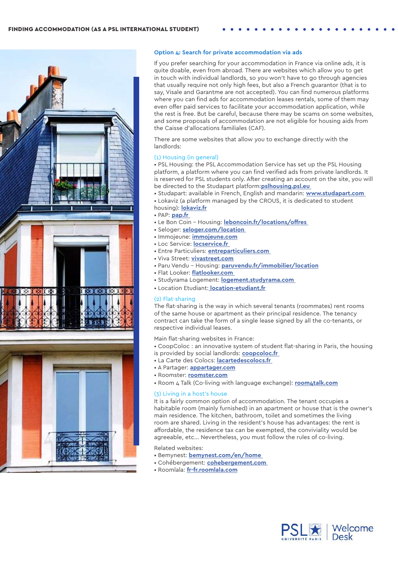



## **Option 4: Search for private accommodation via ads**

If you prefer searching for your accommodation in France via online ads, it is quite doable, even from abroad. There are websites which allow you to get in touch with individual landlords, so you won't have to go through agencies that usually require not only high fees, but also a French guarantor (that is to say, Visale and Garantme are not accepted). You can find numerous platforms where you can find ads for accommodation leases rentals, some of them may even offer paid services to facilitate your accommodation application, while the rest is free. But be careful, because there may be scams on some websites, and some proposals of accommodation are not eligible for housing aids from the Caisse d'allocations familiales (CAF).

There are some websites that allow you to exchange directly with the landlords:

## (1) Housing (in general)

• PSL Housing: the PSL Accommodation Service has set up the PSL Housing platform, a platform where you can find verified ads from private landlords. It is reserved for PSL students only. After creating an account on the site, you will be directed to the Studapart platform:**[pslhousing.psl.eu](https://pslhousing.psl.eu/fr/)** 

- Studapart: available in French, English and mandarin: **[www.studapart.com](http://www.studapart.com )**
- Lokaviz (a platform managed by the CROUS, it is dedicated to student housing): **[lokaviz.fr](http://www.lokaviz.fr)**
- PAP: **[pap.fr](http://www.pap.fr )**
- Le Bon Coin Housing: **[leboncoin.fr/locations/offres](http://www.leboncoin.fr/locations/offres)**
- Seloger: **s[eloger.com/location](http://www.seloger.com/location)**
- Immojeune: **[immojeune.com](http://www.immojeune.com)**
- Loc Service: **[locservice.fr](http://www.locservice.fr )**
- Entre Particuliers: **[entreparticuliers.com](http://www.entreparticuliers.com )**
- Viva Street: **[vivastreet.com](http://www.vivastreet.com)**
- Paru Vendu Housing: **[paruvendu.fr/immobilier/location](http://www.paruvendu.fr/immobilier/location)**
- Flat Looker: **[flatlooker.com](http://www.flatlooker.com )**
- Studyrama Logement: **[logement.studyrama.com](https://logement.studyrama.com/)**
- Location Etudiant: **[location-etudiant.fr]( http://www.location-etudiant.fr)**

## (2) Flat-sharing

The flat-sharing is the way in which several tenants (roommates) rent rooms of the same house or apartment as their principal residence. The tenancy contract can take the form of a single lease signed by all the co-tenants, or respective individual leases.

Main flat-sharing websites in France:

- CoopColoc : an innovative system of student flat-sharing in Paris, the housing is provided by social landlords: **[coopcoloc.fr](https://www.coopcoloc.fr/)**
- La Carte des Colocs: **[lacartedescolocs.fr](https://www.lacartedescolocs.fr/)**
- A Partager: **[appartager.com](https://www.appartager.com/)**
- Roomster: **[roomster.com](https://www.roomster.com/)**
- Room 4 Talk (Co-living with language exchange): **[room4talk.com](http://room4talk.com/en/#/)**

## (3) Living in a host's house

It is a fairly common option of accommodation. The tenant occupies a habitable room (mainly furnished) in an apartment or house that is the owner's main residence. The kitchen, bathroom, toilet and sometimes the living room are shared. Living in the resident's house has advantages: the rent is affordable, the residence tax can be exempted, the conviviality would be agreeable, etc... Nevertheless, you must follow the rules of co-living.

Related websites:

- Bemynest: **[bemynest.com/en/home](https://www.bemynest.com/en/home/ )**
- Cohébergement: **c[ohebergement.com](https://www.cohebergement.com/)**
- Roomlala: **[fr-fr.roomlala.com](https://fr-fr.roomlala.com/)**

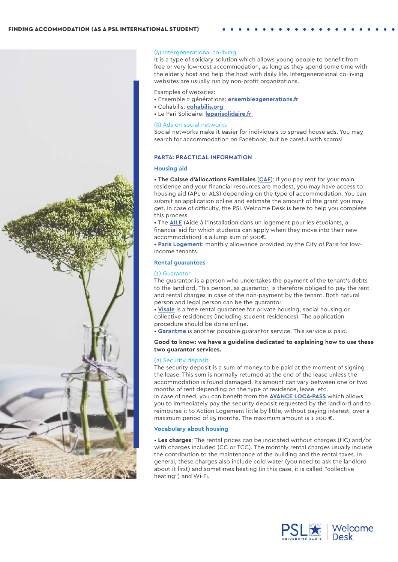

## (4) Intergenerational co-living

It is a type of solidary solution which allows young people to benefit from free or very low-cost accommodation, as long as they spend some time with the elderly host and help the host with daily life. Intergenerational co-living websites are usually run by non-profit organizations.

Examples of websites:

- Ensemble 2 générations: **[ensemble2generations.fr](https://ensemble2generations.fr/)**
- Cohabilis: **[cohabilis.org](http://www.cohabilis.org )**
- Le Pari Solidaire: **[leparisolidaire.fr](http://www.leparisolidaire.fr )**

#### (5) Ads on social networks

Social networks make it easier for individuals to spread house ads. You may search for accommodation on Facebook, but be careful with scams!

## **PART4: PRACTICAL INFORMATION**

## **Housing aid**

• **The Caisse d'Allocations Familiales** (**[CAF](http://www.caf.fr/allocataires/vies-de-famille/jeune-ou-etudiant/aides-au-logement/aide-au-logement-etudiant)**): If you pay rent for your main residence and your financial resources are modest, you may have access to housing aid (APL or ALS) depending on the type of accommodation. You can submit an application online and estimate the amount of the grant you may get. In case of difficulty, the PSL Welcome Desk is here to help you complete this process.

• The **[AILE](http://www.paris.fr/aile)** (Aide à l'installation dans un logement pour les étudiants, a financial aid for which students can apply when they move into their new accommodation) is a lump sum of 900€.

• **[Paris Logement](http://www.paris.fr/services-et-infos-pratiques/aides-et-demarches/aides-allocations-et-subventions/aides-au-logement-3827#paris-logement_19)**: monthly allowance provided by the City of Paris for lowincome tenants.

## **Rental guarantees**

#### (1) Guarantor

The guarantor is a person who undertakes the payment of the tenant's debts to the landlord. This person, as guarantor, is therefore obliged to pay the rent and rental charges in case of the non-payment by the tenant. Both natural person and legal person can be the guarantor.

• **[Visale](https://www.visale.fr/tutoriels/visale-etudiant-alternant/)** is a free rental guarantee for private housing, social housing or collective residences (including student residences). The application procedure should be done online.

• **[Garantme](https://garantme.fr/fr/)** is another possible guarantor service. This service is paid.

## **Good to know: we have a guideline dedicated to explaining how to use these two guarantor services.**

## (2) Security deposit

The security deposit is a sum of money to be paid at the moment of signing the lease. This sum is normally returned at the end of the lease unless the accommodation is found damaged. Its amount can vary between one or two months of rent depending on the type of residence, lease, etc.

In case of need, you can benefit from the **[AVANCE LOCA-PASS](http://www.actionlogement.fr/l-avance-loca-pass)** which allows you to immediately pay the security deposit requested by the landlord and to reimburse it to Action Logement little by little, without paying interest, over a maximum period of 25 months. The maximum amount is 1 200  $\epsilon$ .

## **Vocabulary about housing**

• **Les charges**: The rental prices can be indicated without charges (HC) and/or with charges included (CC or TCC). The monthly rental charges usually include the contribution to the maintenance of the building and the rental taxes. In general, these charges also include cold water (you need to ask the landlord about it first) and sometimes heating (in this case, it is called "collective heating") and Wi-Fi.